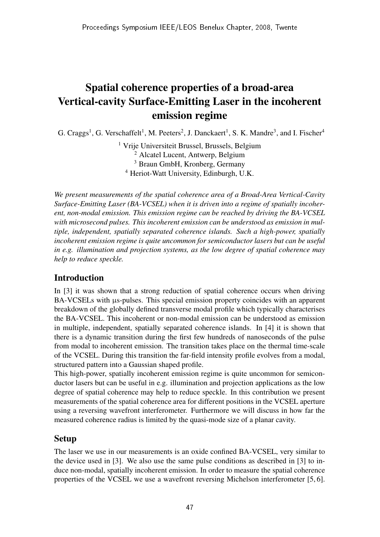# Spatial coherence properties of a broad-area Vertical-cavity Surface-Emitting Laser in the incoherent emission regime

G. Craggs<sup>1</sup>, G. Verschaffelt<sup>1</sup>, M. Peeters<sup>2</sup>, J. Danckaert<sup>1</sup>, S. K. Mandre<sup>3</sup>, and I. Fischer<sup>4</sup>

 Vrije Universiteit Brussel, Brussels, Belgium Alcatel Lucent, Antwerp, Belgium Braun GmbH, Kronberg, Germany Heriot-Watt University, Edinburgh, U.K.

*We present measurements of the spatial coherence area of a Broad-Area Vertical-Cavity Surface-Emitting Laser (BA-VCSEL) when it is driven into a regime of spatially incoherent, non-modal emission. This emission regime can be reached by driving the BA-VCSEL with microsecond pulses. This incoherent emission can be understood as emission in multiple, independent, spatially separated coherence islands. Such a high-power, spatially incoherent emission regime is quite uncommon for semiconductor lasers but can be useful in e.g. illumination and projection systems, as the low degree of spatial coherence may help to reduce speckle.*

### Introduction

In [3] it was shown that a strong reduction of spatial coherence occurs when driving BA-VCSELs with  $\mu$ s-pulses. This special emission property coincides with an apparent breakdown of the globally defined transverse modal profile which typically characterises the BA-VCSEL. This incoherent or non-modal emission can be understood as emission in multiple, independent, spatially separated coherence islands. In [4] it is shown that there is a dynamic transition during the first few hundreds of nanoseconds of the pulse from modal to incoherent emission. The transition takes place on the thermal time-scale of the VCSEL. During this transition the far-field intensity profile evolves from a modal, structured pattern into a Gaussian shaped profile.

This high-power, spatially incoherent emission regime is quite uncommon for semiconductor lasers but can be useful in e.g. illumination and projection applications as the low degree of spatial coherence may help to reduce speckle. In this contribution we present measurements of the spatial coherence area for different positions in the VCSEL aperture using a reversing wavefront interferometer. Furthermore we will discuss in how far the measured coherence radius is limited by the quasi-mode size of a planar cavity.

## Setup

The laser we use in our measurements is an oxide confined BA-VCSEL, very similar to the device used in [3]. We also use the same pulse conditions as described in [3] to induce non-modal, spatially incoherent emission. In order to measure the spatial coherence properties of the VCSEL we use a wavefront reversing Michelson interferometer [5, 6].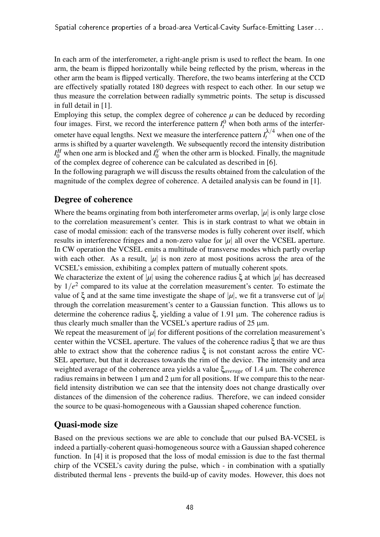In each arm of the interferometer, a right-angle prism is used to reflect the beam. In one arm, the beam is flipped horizontally while being reflected by the prism, whereas in the other arm the beam is flipped vertically. Therefore, the two beams interfering at the CCD are effectively spatially rotated 180 degrees with respect to each other. In our setup we thus measure the correlation between radially symmetric points. The setup is discussed in full detail in [1].

Employing this setup, the complex degree of coherence  $\mu$  can be deduced by recording four images. First, we record the interference pattern  $I_t^0$  when both arms of the interferometer have equal lengths. Next we measure the interference pattern  $I_t^{\lambda/4}$  when one of the arms is shifted by a quarter wavelength. We subsequently record the intensity distribution  $I_0^H$  when one arm is blocked and  $I_0^V$  when the other arm is blocked. Finally, the magnitude of the complex degree of coherence can be calculated as described in [6].

In the following paragraph we will discuss the results obtained from the calculation of the magnitude of the complex degree of coherence. A detailed analysis can be found in [1].

### Degree of coherence

Where the beams orginating from both interferometer arms overlap,  $|\mu|$  is only large close to the correlation measurement's center. This is in stark contrast to what we obtain in case of modal emission: each of the transverse modes is fully coherent over itself, which results in interference fringes and a non-zero value for  $|\mu|$  all over the VCSEL aperture. In CW operation the VCSEL emits a multitude of transverse modes which partly overlap with each other. As a result,  $|\mu|$  is non zero at most positions across the area of the VCSEL's emission, exhibiting a complex pattern of mutually coherent spots.

We characterize the extent of |*µ*| using the coherence radius  $\xi$  at which |*µ*| has decreased by  $1/e<sup>2</sup>$  compared to its value at the correlation measurement's center. To estimate the value of  $\xi$  and at the same time investigate the shape of  $|\mu|$ , we fit a transverse cut of  $|\mu|$ through the correlation measurement's center to a Gaussian function. This allows us to determine the coherence radius ξ, yielding a value of 1.91 µm. The coherence radius is thus clearly much smaller than the VCSEL's aperture radius of  $25 \mu m$ .

We repeat the measurement of  $|\mu|$  for different positions of the correlation measurement's center within the VCSEL aperture. The values of the coherence radius ξ that we are thus able to extract show that the coherence radius  $ξ$  is not constant across the entire VC-SEL aperture, but that it decreases towards the rim of the device. The intensity and area weighted average of the coherence area yields a value ξ*average* of 1.4 µm. The coherence radius remains in between 1  $\mu$ m and 2  $\mu$ m for all positions. If we compare this to the nearfield intensity distribution we can see that the intensity does not change drastically over distances of the dimension of the coherence radius. Therefore, we can indeed consider the source to be quasi-homogeneous with a Gaussian shaped coherence function.

## Quasi-mode size

Based on the previous sections we are able to conclude that our pulsed BA-VCSEL is indeed a partially-coherent quasi-homogeneous source with a Gaussian shaped coherence function. In [4] it is proposed that the loss of modal emission is due to the fast thermal chirp of the VCSEL's cavity during the pulse, which - in combination with a spatially distributed thermal lens - prevents the build-up of cavity modes. However, this does not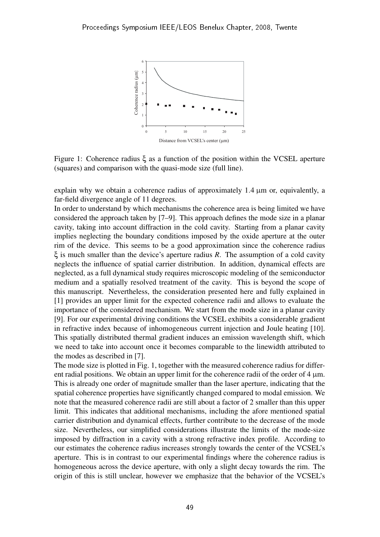

Figure 1: Coherence radius ξ as a function of the position within the VCSEL aperture (squares) and comparison with the quasi-mode size (full line).

explain why we obtain a coherence radius of approximately  $1.4 \mu m$  or, equivalently, a far-field divergence angle of 11 degrees.

In order to understand by which mechanisms the coherence area is being limited we have considered the approach taken by [7–9]. This approach defines the mode size in a planar cavity, taking into account diffraction in the cold cavity. Starting from a planar cavity implies neglecting the boundary conditions imposed by the oxide aperture at the outer rim of the device. This seems to be a good approximation since the coherence radius ξ is much smaller than the device's aperture radius *R*. The assumption of a cold cavity neglects the influence of spatial carrier distribution. In addition, dynamical effects are neglected, as a full dynamical study requires microscopic modeling of the semiconductor medium and a spatially resolved treatment of the cavity. This is beyond the scope of this manuscript. Nevertheless, the consideration presented here and fully explained in [1] provides an upper limit for the expected coherence radii and allows to evaluate the importance of the considered mechanism. We start from the mode size in a planar cavity [9]. For our experimental driving conditions the VCSEL exhibits a considerable gradient in refractive index because of inhomogeneous current injection and Joule heating [10]. This spatially distributed thermal gradient induces an emission wavelength shift, which we need to take into account once it becomes comparable to the linewidth attributed to the modes as described in [7].

The mode size is plotted in Fig. 1, together with the measured coherence radius for different radial positions. We obtain an upper limit for the coherence radii of the order of  $4 \mu m$ . This is already one order of magnitude smaller than the laser aperture, indicating that the spatial coherence properties have significantly changed compared to modal emission. We note that the measured coherence radii are still about a factor of 2 smaller than this upper limit. This indicates that additional mechanisms, including the afore mentioned spatial carrier distribution and dynamical effects, further contribute to the decrease of the mode size. Nevertheless, our simplified considerations illustrate the limits of the mode-size imposed by diffraction in a cavity with a strong refractive index profile. According to our estimates the coherence radius increases strongly towards the center of the VCSEL's aperture. This is in contrast to our experimental findings where the coherence radius is homogeneous across the device aperture, with only a slight decay towards the rim. The origin of this is still unclear, however we emphasize that the behavior of the VCSEL's